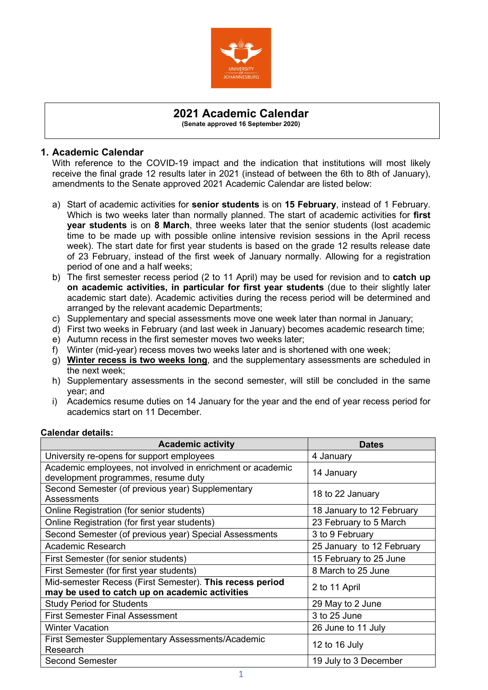

# **2021 Academic Calendar**

**(Senate approved 16 September 2020)**

#### **1. Academic Calendar**

With reference to the COVID-19 impact and the indication that institutions will most likely receive the final grade 12 results later in 2021 (instead of between the 6th to 8th of January), amendments to the Senate approved 2021 Academic Calendar are listed below:

- a) Start of academic activities for **senior students** is on **15 February**, instead of 1 February. Which is two weeks later than normally planned. The start of academic activities for **first year students** is on **8 March**, three weeks later that the senior students (lost academic time to be made up with possible online intensive revision sessions in the April recess week). The start date for first year students is based on the grade 12 results release date of 23 February, instead of the first week of January normally. Allowing for a registration period of one and a half weeks;
- b) The first semester recess period (2 to 11 April) may be used for revision and to **catch up on academic activities, in particular for first year students** (due to their slightly later academic start date). Academic activities during the recess period will be determined and arranged by the relevant academic Departments;
- c) Supplementary and special assessments move one week later than normal in January;
- d) First two weeks in February (and last week in January) becomes academic research time;
- e) Autumn recess in the first semester moves two weeks later;
- f) Winter (mid-year) recess moves two weeks later and is shortened with one week;
- g) **Winter recess is two weeks long**, and the supplementary assessments are scheduled in the next week;
- h) Supplementary assessments in the second semester, will still be concluded in the same year; and
- i) Academics resume duties on 14 January for the year and the end of year recess period for academics start on 11 December.

| <b>Academic activity</b>                                                                                   | <b>Dates</b>              |  |  |  |  |
|------------------------------------------------------------------------------------------------------------|---------------------------|--|--|--|--|
| University re-opens for support employees                                                                  | 4 January                 |  |  |  |  |
| Academic employees, not involved in enrichment or academic<br>development programmes, resume duty          | 14 January                |  |  |  |  |
| Second Semester (of previous year) Supplementary<br><b>Assessments</b>                                     | 18 to 22 January          |  |  |  |  |
| Online Registration (for senior students)                                                                  | 18 January to 12 February |  |  |  |  |
| Online Registration (for first year students)                                                              | 23 February to 5 March    |  |  |  |  |
| Second Semester (of previous year) Special Assessments                                                     | 3 to 9 February           |  |  |  |  |
| <b>Academic Research</b>                                                                                   | 25 January to 12 February |  |  |  |  |
| First Semester (for senior students)                                                                       | 15 February to 25 June    |  |  |  |  |
| First Semester (for first year students)                                                                   | 8 March to 25 June        |  |  |  |  |
| Mid-semester Recess (First Semester). This recess period<br>may be used to catch up on academic activities | 2 to 11 April             |  |  |  |  |
| <b>Study Period for Students</b>                                                                           | 29 May to 2 June          |  |  |  |  |
| <b>First Semester Final Assessment</b>                                                                     | 3 to 25 June              |  |  |  |  |
| <b>Winter Vacation</b>                                                                                     | 26 June to 11 July        |  |  |  |  |
| <b>First Semester Supplementary Assessments/Academic</b><br>Research                                       | 12 to 16 July             |  |  |  |  |
| <b>Second Semester</b>                                                                                     | 19 July to 3 December     |  |  |  |  |

### **Calendar details:**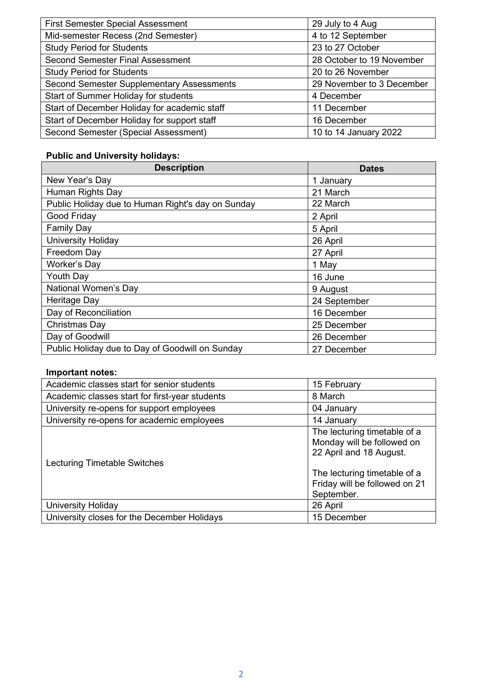| <b>First Semester Special Assessment</b>         | 29 July to 4 Aug          |  |  |  |  |
|--------------------------------------------------|---------------------------|--|--|--|--|
| Mid-semester Recess (2nd Semester)               | 4 to 12 September         |  |  |  |  |
| <b>Study Period for Students</b>                 | 23 to 27 October          |  |  |  |  |
| <b>Second Semester Final Assessment</b>          | 28 October to 19 November |  |  |  |  |
| <b>Study Period for Students</b>                 | 20 to 26 November         |  |  |  |  |
| <b>Second Semester Supplementary Assessments</b> | 29 November to 3 December |  |  |  |  |
| Start of Summer Holiday for students             | 4 December                |  |  |  |  |
| Start of December Holiday for academic staff     | 11 December               |  |  |  |  |
| Start of December Holiday for support staff      | 16 December               |  |  |  |  |
| Second Semester (Special Assessment)             | 10 to 14 January 2022     |  |  |  |  |

## **Public and University holidays:**

| <b>Description</b>                                | <b>Dates</b> |  |  |  |
|---------------------------------------------------|--------------|--|--|--|
| New Year's Day                                    | 1 January    |  |  |  |
| Human Rights Day                                  | 21 March     |  |  |  |
| Public Holiday due to Human Right's day on Sunday | 22 March     |  |  |  |
| Good Friday                                       | 2 April      |  |  |  |
| <b>Family Day</b>                                 | 5 April      |  |  |  |
| <b>University Holiday</b>                         | 26 April     |  |  |  |
| Freedom Day                                       | 27 April     |  |  |  |
| <b>Worker's Day</b>                               | 1 May        |  |  |  |
| Youth Day                                         | 16 June      |  |  |  |
| National Women's Day                              | 9 August     |  |  |  |
| Heritage Day                                      | 24 September |  |  |  |
| Day of Reconciliation                             | 16 December  |  |  |  |
| Christmas Day                                     | 25 December  |  |  |  |
| Day of Goodwill                                   | 26 December  |  |  |  |
| Public Holiday due to Day of Goodwill on Sunday   | 27 December  |  |  |  |

#### **Important notes:**

| Academic classes start for senior students     | 15 February                                                                                                                                                          |  |  |  |  |
|------------------------------------------------|----------------------------------------------------------------------------------------------------------------------------------------------------------------------|--|--|--|--|
| Academic classes start for first-year students | 8 March                                                                                                                                                              |  |  |  |  |
| University re-opens for support employees      | 04 January                                                                                                                                                           |  |  |  |  |
| University re-opens for academic employees     | 14 January                                                                                                                                                           |  |  |  |  |
| Lecturing Timetable Switches                   | The lecturing timetable of a<br>Monday will be followed on<br>22 April and 18 August.<br>The lecturing timetable of a<br>Friday will be followed on 21<br>September. |  |  |  |  |
| <b>University Holiday</b>                      | 26 April                                                                                                                                                             |  |  |  |  |
| University closes for the December Holidays    | 15 December                                                                                                                                                          |  |  |  |  |